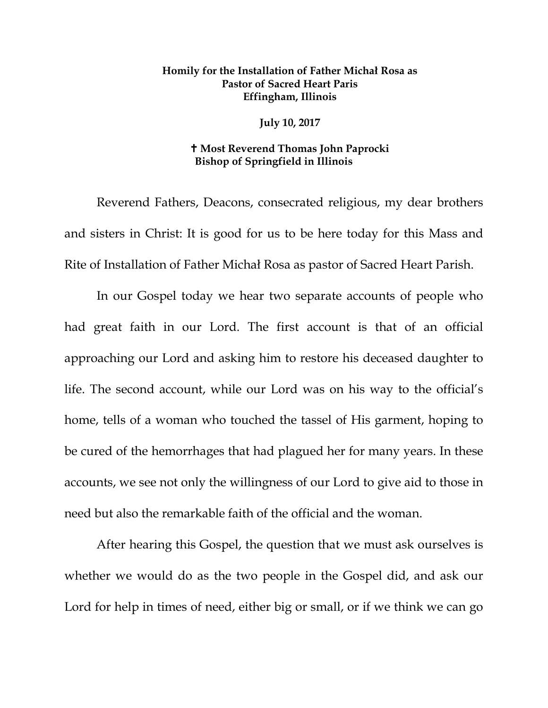## **Homily for the Installation of Father Michał Rosa as Pastor of Sacred Heart Paris Effingham, Illinois**

**July 10, 2017** 

## **Most Reverend Thomas John Paprocki Bishop of Springfield in Illinois**

Reverend Fathers, Deacons, consecrated religious, my dear brothers and sisters in Christ: It is good for us to be here today for this Mass and Rite of Installation of Father Michał Rosa as pastor of Sacred Heart Parish.

In our Gospel today we hear two separate accounts of people who had great faith in our Lord. The first account is that of an official approaching our Lord and asking him to restore his deceased daughter to life. The second account, while our Lord was on his way to the official's home, tells of a woman who touched the tassel of His garment, hoping to be cured of the hemorrhages that had plagued her for many years. In these accounts, we see not only the willingness of our Lord to give aid to those in need but also the remarkable faith of the official and the woman.

After hearing this Gospel, the question that we must ask ourselves is whether we would do as the two people in the Gospel did, and ask our Lord for help in times of need, either big or small, or if we think we can go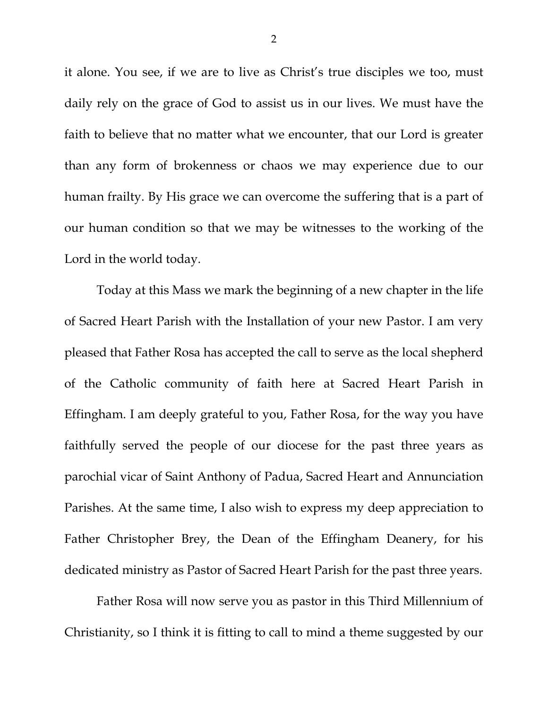it alone. You see, if we are to live as Christ's true disciples we too, must daily rely on the grace of God to assist us in our lives. We must have the faith to believe that no matter what we encounter, that our Lord is greater than any form of brokenness or chaos we may experience due to our human frailty. By His grace we can overcome the suffering that is a part of our human condition so that we may be witnesses to the working of the Lord in the world today.

Today at this Mass we mark the beginning of a new chapter in the life of Sacred Heart Parish with the Installation of your new Pastor. I am very pleased that Father Rosa has accepted the call to serve as the local shepherd of the Catholic community of faith here at Sacred Heart Parish in Effingham. I am deeply grateful to you, Father Rosa, for the way you have faithfully served the people of our diocese for the past three years as parochial vicar of Saint Anthony of Padua, Sacred Heart and Annunciation Parishes. At the same time, I also wish to express my deep appreciation to Father Christopher Brey, the Dean of the Effingham Deanery, for his dedicated ministry as Pastor of Sacred Heart Parish for the past three years.

Father Rosa will now serve you as pastor in this Third Millennium of Christianity, so I think it is fitting to call to mind a theme suggested by our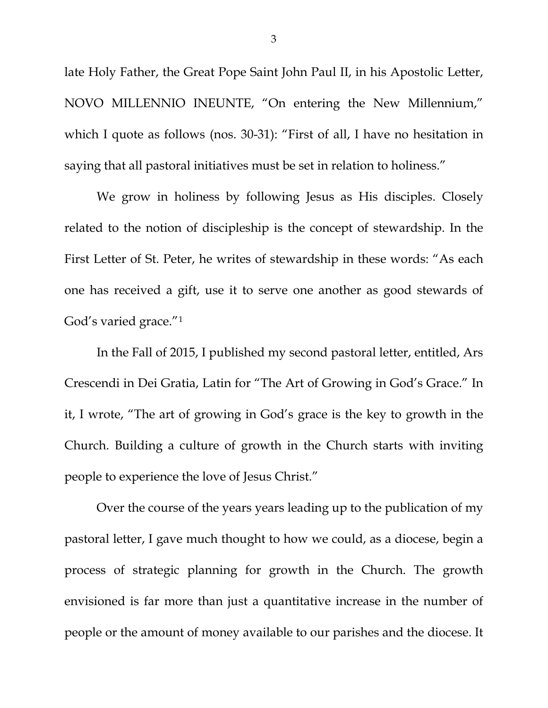late Holy Father, the Great Pope Saint John Paul II, in his Apostolic Letter, NOVO MILLENNIO INEUNTE, "On entering the New Millennium," which I quote as follows (nos. 30-31): "First of all, I have no hesitation in saying that all pastoral initiatives must be set in relation to holiness."

We grow in holiness by following Jesus as His disciples. Closely related to the notion of discipleship is the concept of stewardship. In the First Letter of St. Peter, he writes of stewardship in these words: "As each one has received a gift, use it to serve one another as good stewards of God's varied grace."[1](#page-6-0)

In the Fall of 2015, I published my second pastoral letter, entitled, Ars Crescendi in Dei Gratia, Latin for "The Art of Growing in God's Grace." In it, I wrote, "The art of growing in God's grace is the key to growth in the Church. Building a culture of growth in the Church starts with inviting people to experience the love of Jesus Christ."

Over the course of the years years leading up to the publication of my pastoral letter, I gave much thought to how we could, as a diocese, begin a process of strategic planning for growth in the Church. The growth envisioned is far more than just a quantitative increase in the number of people or the amount of money available to our parishes and the diocese. It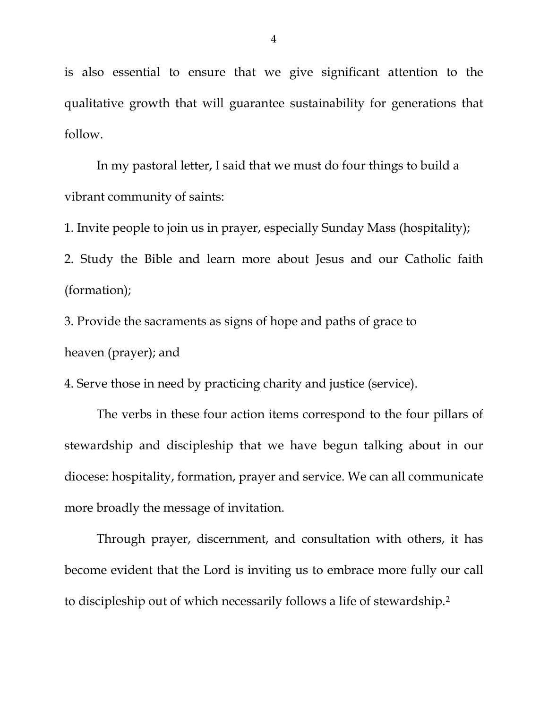is also essential to ensure that we give significant attention to the qualitative growth that will guarantee sustainability for generations that follow.

In my pastoral letter, I said that we must do four things to build a vibrant community of saints:

1. Invite people to join us in prayer, especially Sunday Mass (hospitality);

2. Study the Bible and learn more about Jesus and our Catholic faith (formation);

3. Provide the sacraments as signs of hope and paths of grace to heaven (prayer); and

4. Serve those in need by practicing charity and justice (service).

The verbs in these four action items correspond to the four pillars of stewardship and discipleship that we have begun talking about in our diocese: hospitality, formation, prayer and service. We can all communicate more broadly the message of invitation.

Through prayer, discernment, and consultation with others, it has become evident that the Lord is inviting us to embrace more fully our call to discipleship out of which necessarily follows a life of stewardship.[2](#page-6-1)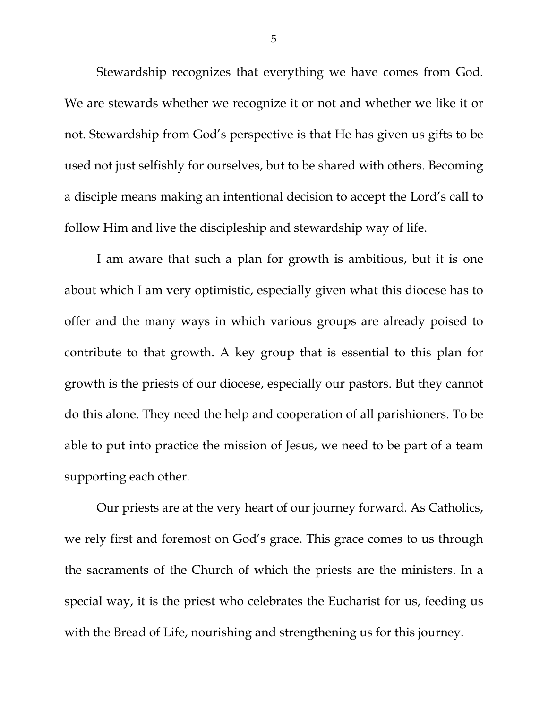Stewardship recognizes that everything we have comes from God. We are stewards whether we recognize it or not and whether we like it or not. Stewardship from God's perspective is that He has given us gifts to be used not just selfishly for ourselves, but to be shared with others. Becoming a disciple means making an intentional decision to accept the Lord's call to follow Him and live the discipleship and stewardship way of life.

I am aware that such a plan for growth is ambitious, but it is one about which I am very optimistic, especially given what this diocese has to offer and the many ways in which various groups are already poised to contribute to that growth. A key group that is essential to this plan for growth is the priests of our diocese, especially our pastors. But they cannot do this alone. They need the help and cooperation of all parishioners. To be able to put into practice the mission of Jesus, we need to be part of a team supporting each other.

Our priests are at the very heart of our journey forward. As Catholics, we rely first and foremost on God's grace. This grace comes to us through the sacraments of the Church of which the priests are the ministers. In a special way, it is the priest who celebrates the Eucharist for us, feeding us with the Bread of Life, nourishing and strengthening us for this journey.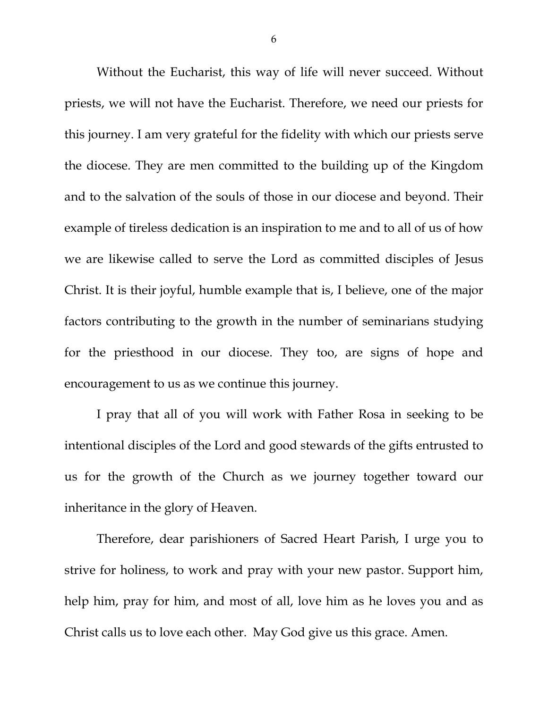Without the Eucharist, this way of life will never succeed. Without priests, we will not have the Eucharist. Therefore, we need our priests for this journey. I am very grateful for the fidelity with which our priests serve the diocese. They are men committed to the building up of the Kingdom and to the salvation of the souls of those in our diocese and beyond. Their example of tireless dedication is an inspiration to me and to all of us of how we are likewise called to serve the Lord as committed disciples of Jesus Christ. It is their joyful, humble example that is, I believe, one of the major factors contributing to the growth in the number of seminarians studying for the priesthood in our diocese. They too, are signs of hope and encouragement to us as we continue this journey.

I pray that all of you will work with Father Rosa in seeking to be intentional disciples of the Lord and good stewards of the gifts entrusted to us for the growth of the Church as we journey together toward our inheritance in the glory of Heaven.

Therefore, dear parishioners of Sacred Heart Parish, I urge you to strive for holiness, to work and pray with your new pastor. Support him, help him, pray for him, and most of all, love him as he loves you and as Christ calls us to love each other. May God give us this grace. Amen.